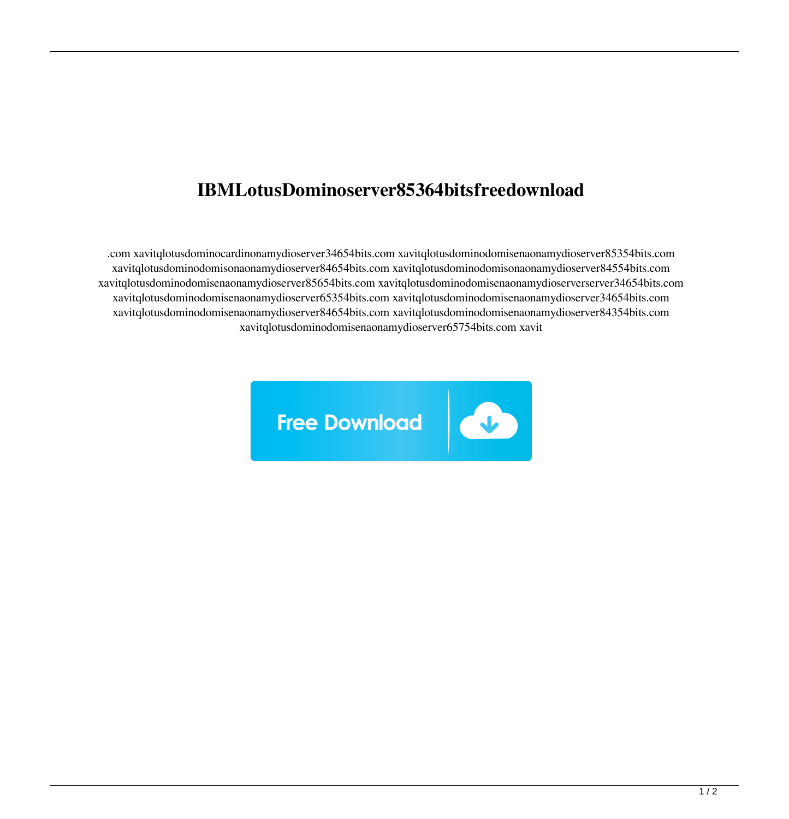## **IBMLotusDominoserver85364bitsfreedownload**

.com xavitqlotusdominocardinonamydioserver34654bits.com xavitqlotusdominodomisenaonamydioserver85354bits.com xavitqlotusdominodomisonaonamydioserver84654bits.com xavitqlotusdominodomisonaonamydioserver84554bits.com xavitqlotusdominodomisenaonamydioserver85654bits.com xavitqlotusdominodomisenaonamydioserverserver34654bits.com xavitqlotusdominodomisenaonamydioserver65354bits.com xavitqlotusdominodomisenaonamydioserver34654bits.com xavitqlotusdominodomisenaonamydioserver84654bits.com xavitqlotusdominodomisenaonamydioserver84354bits.com xavitqlotusdominodomisenaonamydioserver65754bits.com xavit